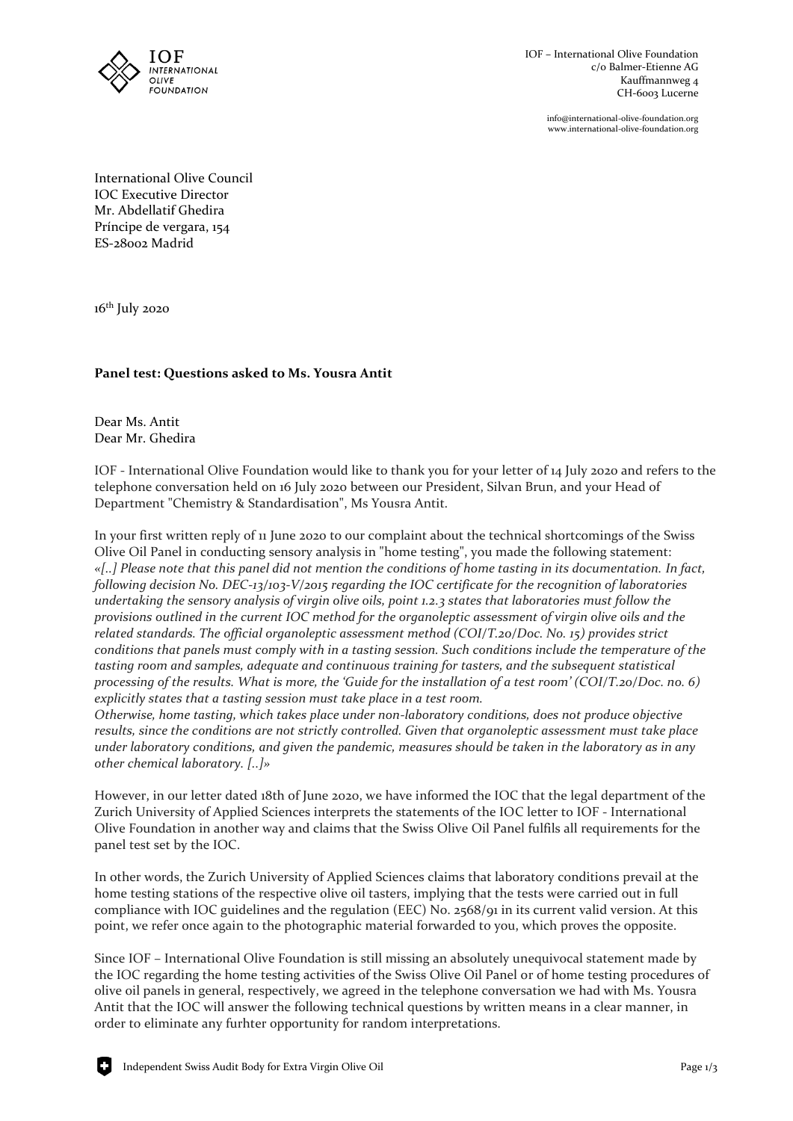

info@international-olive-foundation.org www.international-olive-foundation.org

International Olive Council IOC Executive Director Mr. Abdellatif Ghedira Príncipe de vergara, 154 ES-28002 Madrid

16<sup>th</sup> July 2020

## **Panel test: Questions asked to Ms. Yousra Antit**

Dear Ms. Antit Dear Mr. Ghedira

IOF - International Olive Foundation would like to thank you for your letter of 14 July 2020 and refers to the telephone conversation held on 16 July 2020 between our President, Silvan Brun, and your Head of Department "Chemistry & Standardisation", Ms Yousra Antit.

In your first written reply of 11 June 2020 to our complaint about the technical shortcomings of the Swiss Olive Oil Panel in conducting sensory analysis in "home testing", you made the following statement: *«[..] Please note that this panel did not mention the conditions of home tasting in its documentation. In fact, following decision No. DEC-13/103-V/2015 regarding the IOC certificate for the recognition of laboratories undertaking the sensory analysis of virgin olive oils, point 1.2.3 states that laboratories must follow the provisions outlined in the current IOC method for the organoleptic assessment of virgin olive oils and the related standards. The official organoleptic assessment method (COI/T.20/Doc. No. 15) provides strict conditions that panels must comply with in a tasting session. Such conditions include the temperature of the tasting room and samples, adequate and continuous training for tasters, and the subsequent statistical processing of the results. What is more, the 'Guide for the installation of a test room' (COI/T.20/Doc. no. 6) explicitly states that a tasting session must take place in a test room.*

*Otherwise, home tasting, which takes place under non-laboratory conditions, does not produce objective results, since the conditions are not strictly controlled. Given that organoleptic assessment must take place under laboratory conditions, and given the pandemic, measures should be taken in the laboratory as in any other chemical laboratory. [..]»*

However, in our letter dated 18th of June 2020, we have informed the IOC that the legal department of the Zurich University of Applied Sciences interprets the statements of the IOC letter to IOF - International Olive Foundation in another way and claims that the Swiss Olive Oil Panel fulfils all requirements for the panel test set by the IOC.

In other words, the Zurich University of Applied Sciences claims that laboratory conditions prevail at the home testing stations of the respective olive oil tasters, implying that the tests were carried out in full compliance with IOC guidelines and the regulation (EEC) No. 2568/91 in its current valid version. At this point, we refer once again to the photographic material forwarded to you, which proves the opposite.

Since IOF – International Olive Foundation is still missing an absolutely unequivocal statement made by the IOC regarding the home testing activities of the Swiss Olive Oil Panel or of home testing procedures of olive oil panels in general, respectively, we agreed in the telephone conversation we had with Ms. Yousra Antit that the IOC will answer the following technical questions by written means in a clear manner, in order to eliminate any furhter opportunity for random interpretations.

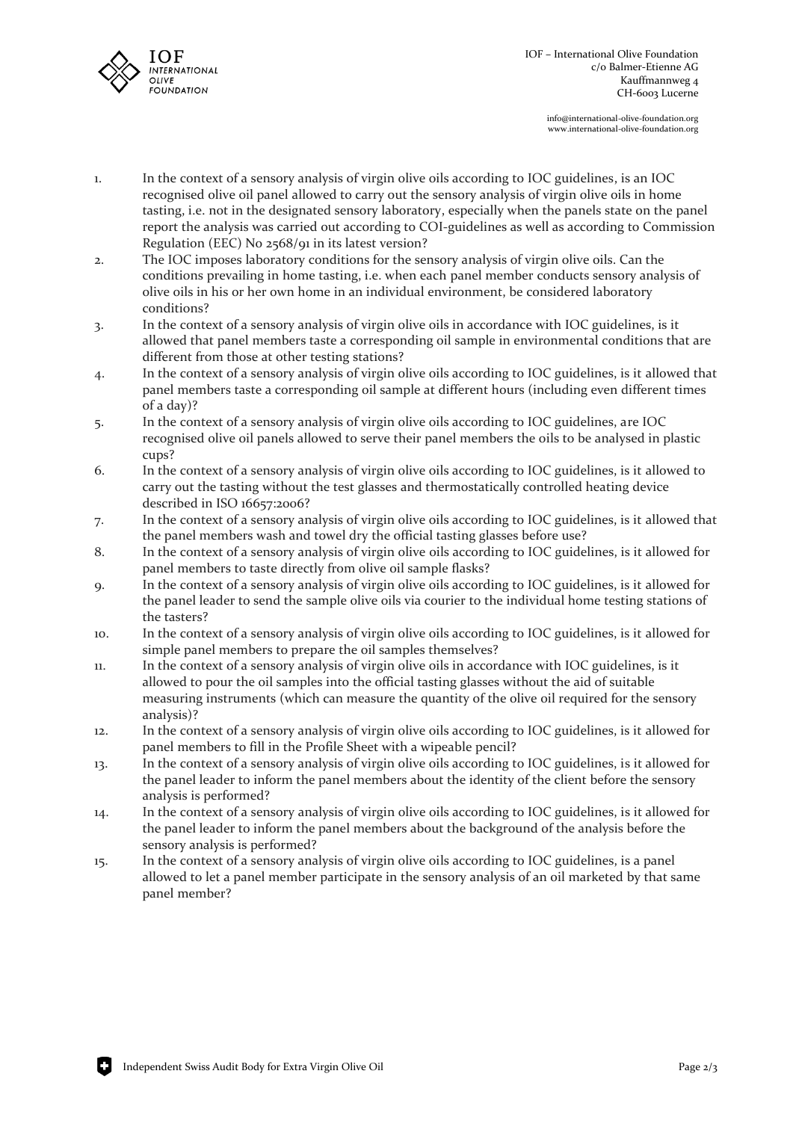

info@international-olive-foundation.org www.international-olive-foundation.org

- 1. In the context of a sensory analysis of virgin olive oils according to IOC guidelines, is an IOC recognised olive oil panel allowed to carry out the sensory analysis of virgin olive oils in home tasting, i.e. not in the designated sensory laboratory, especially when the panels state on the panel report the analysis was carried out according to COI-guidelines as well as according to Commission Regulation (EEC) No 2568/91 in its latest version?
- 2. The IOC imposes laboratory conditions for the sensory analysis of virgin olive oils. Can the conditions prevailing in home tasting, i.e. when each panel member conducts sensory analysis of olive oils in his or her own home in an individual environment, be considered laboratory conditions?
- 3. In the context of a sensory analysis of virgin olive oils in accordance with IOC guidelines, is it allowed that panel members taste a corresponding oil sample in environmental conditions that are different from those at other testing stations?
- 4. In the context of a sensory analysis of virgin olive oils according to IOC guidelines, is it allowed that panel members taste a corresponding oil sample at different hours (including even different times of a day)?
- 5. In the context of a sensory analysis of virgin olive oils according to IOC guidelines, are IOC recognised olive oil panels allowed to serve their panel members the oils to be analysed in plastic cups?
- 6. In the context of a sensory analysis of virgin olive oils according to IOC guidelines, is it allowed to carry out the tasting without the test glasses and thermostatically controlled heating device described in ISO 16657:2006?
- 7. In the context of a sensory analysis of virgin olive oils according to IOC guidelines, is it allowed that the panel members wash and towel dry the official tasting glasses before use?
- 8. In the context of a sensory analysis of virgin olive oils according to IOC guidelines, is it allowed for panel members to taste directly from olive oil sample flasks?
- 9. In the context of a sensory analysis of virgin olive oils according to IOC guidelines, is it allowed for the panel leader to send the sample olive oils via courier to the individual home testing stations of the tasters?
- 10. In the context of a sensory analysis of virgin olive oils according to IOC guidelines, is it allowed for simple panel members to prepare the oil samples themselves?
- 11. In the context of a sensory analysis of virgin olive oils in accordance with IOC guidelines, is it allowed to pour the oil samples into the official tasting glasses without the aid of suitable measuring instruments (which can measure the quantity of the olive oil required for the sensory analysis)?
- 12. In the context of a sensory analysis of virgin olive oils according to IOC guidelines, is it allowed for panel members to fill in the Profile Sheet with a wipeable pencil?
- 13. In the context of a sensory analysis of virgin olive oils according to IOC guidelines, is it allowed for the panel leader to inform the panel members about the identity of the client before the sensory analysis is performed?
- 14. In the context of a sensory analysis of virgin olive oils according to IOC guidelines, is it allowed for the panel leader to inform the panel members about the background of the analysis before the sensory analysis is performed?
- 15. In the context of a sensory analysis of virgin olive oils according to IOC guidelines, is a panel allowed to let a panel member participate in the sensory analysis of an oil marketed by that same panel member?